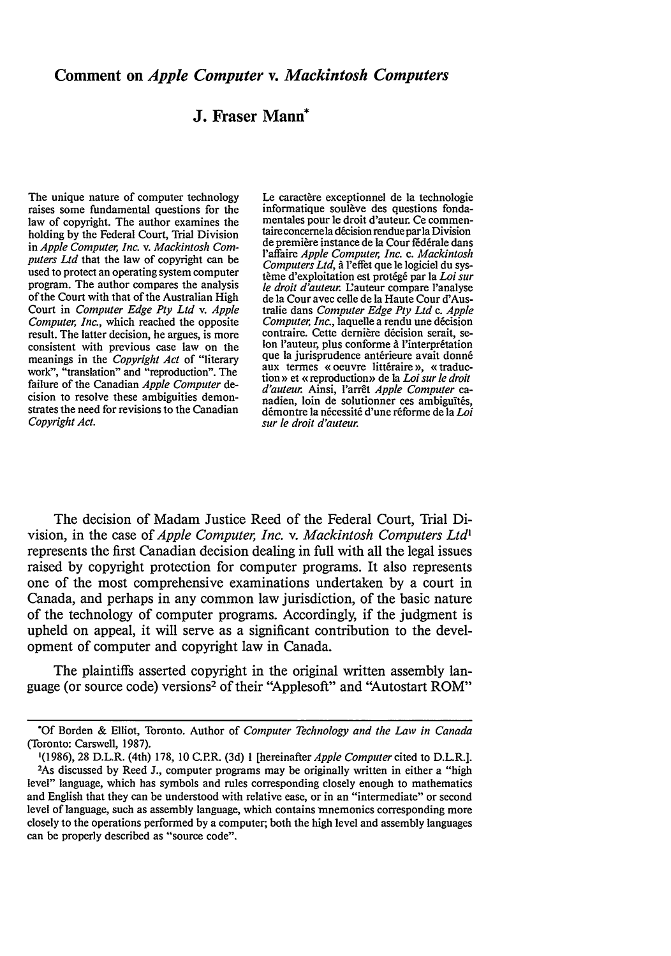## **J. Fraser Mann\***

The unique nature of computer technology raises some fundamental questions for the law of copyright. The author examines the holding **by** the Federal Court, Trial Division in *Apple Computer, Inc. v. Mackintosh Computers Ltd* that the law of copyright can be used to protect an operating system computer program. The author compares the analysis of the Court with that of the Australian High Court in *Computer Edge Pty Ltd v. Apple Computer, Inc.,* which reached the opposite result. The latter decision, he argues, is more consistent with previous case law on the meanings in the *Copyright Act* of "literary work", "translation" and "reproduction". The failure of the Canadian *Apple Computer* decision to resolve these ambiguities demonstrates the need for revisions to the Canadian *Copyright Act.*

Le caractère exceptionnel de la technologie informatique soulève des questions fonda-<br>mentales pour le droit d'auteur. Ce commentaire concerne la décision rendue par la Division de première instance de la Cour fédérale dans 'affaire *Apple Computer, Inc. c. Mackintosh Computers Ltd,* **A** 'effet que le logiciel du système d'exploitation est protégé par la *Loi sur le droit d'auteur.* L'auteur compare l'analyse de Ia Cour avec celle de la Haute Cour d'Australie dans *Computer Edge Pty Ltd c. Apple Computer, Inc., laquelle a rendu une décision* contraire. Cette dernière décision serait, se-<br>Ion l'auteur, plus conforme à l'interprétation que la jurisprudence antérieure avait donné aux termes « oeuvre littéraire », « traduction » et « reproduction » de la *Loi sur le droit d'auteur.* Ainsi, l'arrêt *Apple Computer* canadien, loin de solutionner ces ambiguïtés, démontre la nécessité d'une réforme de la *Loi sur le droit d'auteur.* 

The decision of Madam Justice Reed of the Federal Court, Trial Division, in the case of *Apple Computer, Inc. v. Mackintosh Computers Ltd'* represents the first Canadian decision dealing in full with all the legal issues raised **by** copyright protection for computer programs. It also represents one of the most comprehensive examinations undertaken **by** a court in Canada, and perhaps in any common law jurisdiction, of the basic nature of the technology of computer programs. Accordingly, if the judgment is upheld on appeal, it will serve as a significant contribution to the development of computer and copyright law in Canada.

The plaintiffs asserted copyright in the original written assembly language (or source code) versions<sup>2</sup> of their "Applesoft" and "Autostart ROM"

*<sup>\*</sup>Of* Borden **&** Elliot, Toronto. Author of *Computer Technology and the Law in Canada* (Toronto: Carswell, **1987).**

**<sup>1(1986), 28</sup>** D.L.R. (4th) **178, 10** C.P.R. **(3d) 1** [hereinafterApple *Computer* cited to D.L.R.]. <sup>2</sup> As discussed **by** Reed **J.,** computer programs may be originally written in either a "high level" language, which has symbols and rules corresponding closely enough to mathematics and English that they can be understood with relative ease, or in an "intermediate" or second level of language, such as assembly language, which contains mnemonics corresponding more closely to the operations performed **by** a computer, both the high level and assembly languages can be properly described as "source code".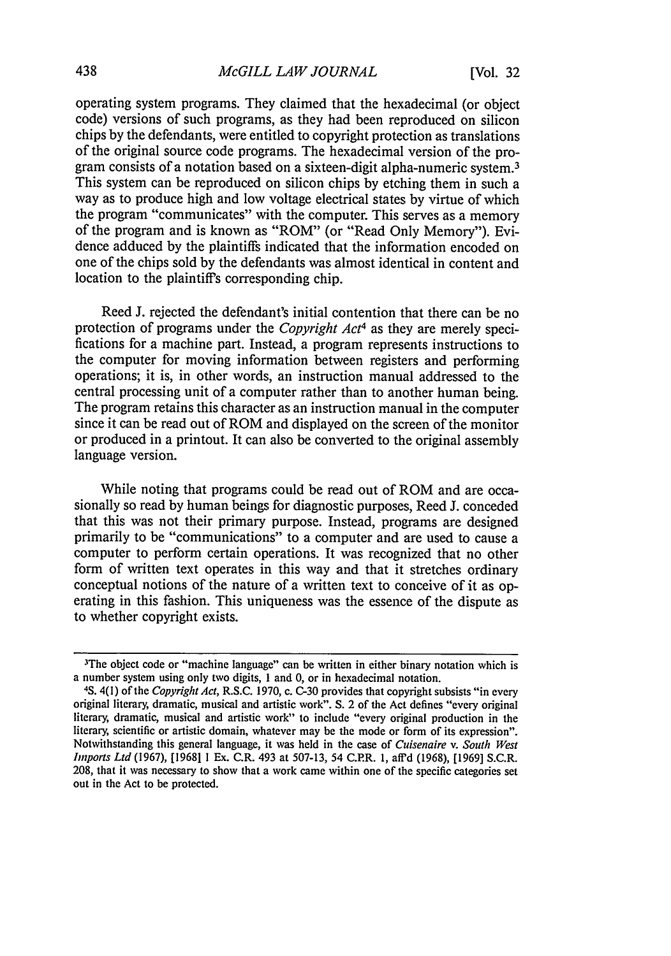operating system programs. They claimed that the hexadecimal (or object code) versions of such programs, as they had been reproduced on silicon chips by the defendants, were entitled to copyright protection as translations of the original source code programs. The hexadecimal version of the program consists of a notation based on a sixteen-digit alpha-numeric system. <sup>3</sup> This system can be reproduced on silicon chips by etching them in such a way as to produce high and low voltage electrical states by virtue of which the program "communicates" with the computer. This serves as a memory of the program and is known as "ROM" (or "Read Only Memory"). Evidence adduced by the plaintiffs indicated that the information encoded on one of the chips sold by the defendants was almost identical in content and location to the plaintiffs corresponding chip.

Reed J. rejected the defendant's initial contention that there can be no protection of programs under the *Copyright Act4* as they are merely specifications for a machine part. Instead, a program represents instructions to the computer for moving information between registers and performing operations; it is, in other words, an instruction manual addressed to the central processing unit of a computer rather than to another human being. The program retains this character as an instruction manual in the computer since it can be read out of ROM and displayed on the screen of the monitor or produced in a printout. It can also be converted to the original assembly language version.

While noting that programs could be read out of ROM and are occasionally so read by human beings for diagnostic purposes, Reed J. conceded that this was not their primary purpose. Instead, programs are designed primarily to be "communications" to a computer and are used to cause a computer to perform certain operations. It was recognized that no other form of written text operates in this way and that it stretches ordinary conceptual notions of the nature of a written text to conceive of it as operating in this fashion. This uniqueness was the essence of the dispute as to whether copyright exists.

<sup>&</sup>lt;sup>3</sup>The object code or "machine language" can be written in either binary notation which is a number system using only two digits, 1 and 0, or in hexadecimal notation.

<sup>4</sup>S. 4(1) of the *Copyright Act,* R.S.C. 1970, c. C-30 provides that copyright subsists "in every original literary, dramatic, musical and artistic work". S. 2 of the Act defines "every original literary, dramatic, musical and artistic work" to include "every original production in the literary, scientific or artistic domain, whatever may be the mode or form of its expression". Notwithstanding this general language, it was held in the case of *Cuisenaire v. South West* Imports Ltd (1967), [1968] **1** Ex. C.R. 493 at 507-13, 54 C.PR. 1, aff'd (1968), [1969] S.C.R. 208, that it was necessary to show that a work came within one of the specific categories set out in the Act to be protected.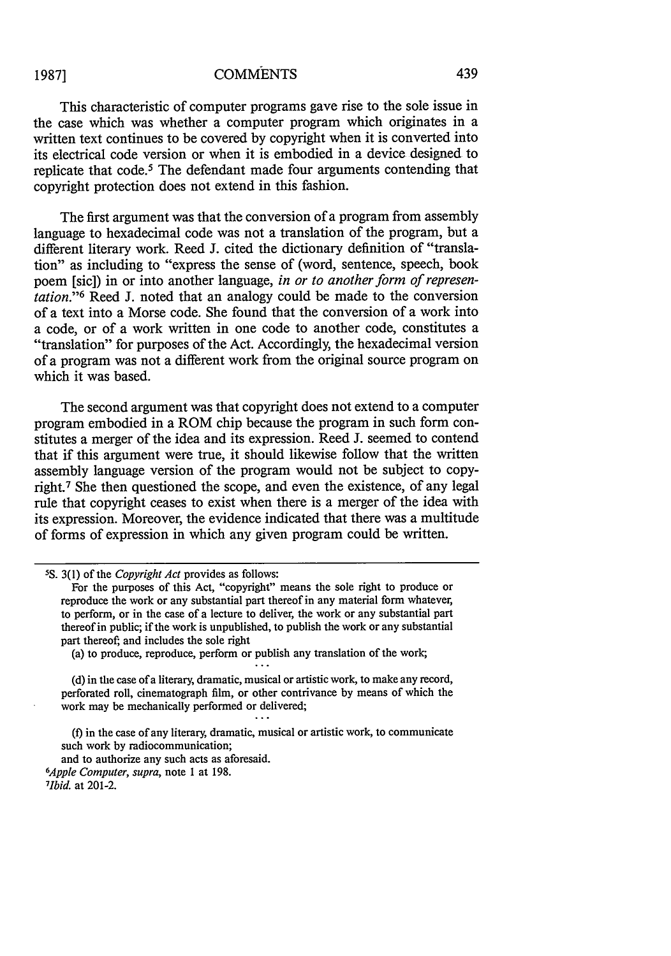**1987]**

## **COMMENTS**

This characteristic of computer programs gave rise to the sole issue in the case which was whether a computer program which originates in a written text continues to be covered by copyright when it is converted into its electrical code version or when it is embodied in a device designed to replicate that code.<sup>5</sup> The defendant made four arguments contending that copyright protection does not extend in this fashion.

The first argument was that the conversion of a program from assembly language to hexadecimal code was not a translation of the program, but a different literary work. Reed J. cited the dictionary definition of "translation" as including to "express the sense of (word, sentence, speech, book poem [sic]) in or into another language, *in or to another form of representation."' <sup>6</sup>*Reed J. noted that an analogy could be made to the conversion of a text into a Morse code. She found that the conversion of a work into a code, or of a work written in one code to another code, constitutes a "translation" for purposes of the Act. Accordingly, the hexadecimal version of a program was not a different work from the original source program on which it was based.

The second argument was that copyright does not extend to a computer program embodied in a ROM chip because the program in such form constitutes a merger of the idea and its expression. Reed J. seemed to contend that if this argument were true, it should likewise follow that the written assembly language version of the program would not be subject to copyright.7 She then questioned the scope, and even the existence, of any legal rule that copyright ceases to exist when there is a merger of the idea with its expression. Moreover, the evidence indicated that there was a multitude of forms of expression in which any given program could be written.

(a) to produce, reproduce, perform or publish any translation of the work;

(d) in the case of a literary, dramatic, musical or artistic work, to make any record, perforated roll, cinematograph film, or other contrivance by means of which the work may be mechanically performed or delivered;

(f) in the case of any literary, dramatic, musical or artistic work, to communicate such work by radiocommunication;

and to authorize any such acts as aforesaid. *<sup>6</sup> Apple Computer, supra,* note **I** at 198. *7 Ibid.* at 201-2.

**<sup>5</sup> S.** 3(1) of the *Copyright Act* provides as follows:

For the purposes of this Act, "copyright" means the sole right to produce or reproduce the work or any substantial part thereof in any material form whatever, to perform, or in the case of a lecture to deliver, the work or any substantial part thereof in public; if the work is unpublished, to publish the work or any substantial part thereof; and includes the sole right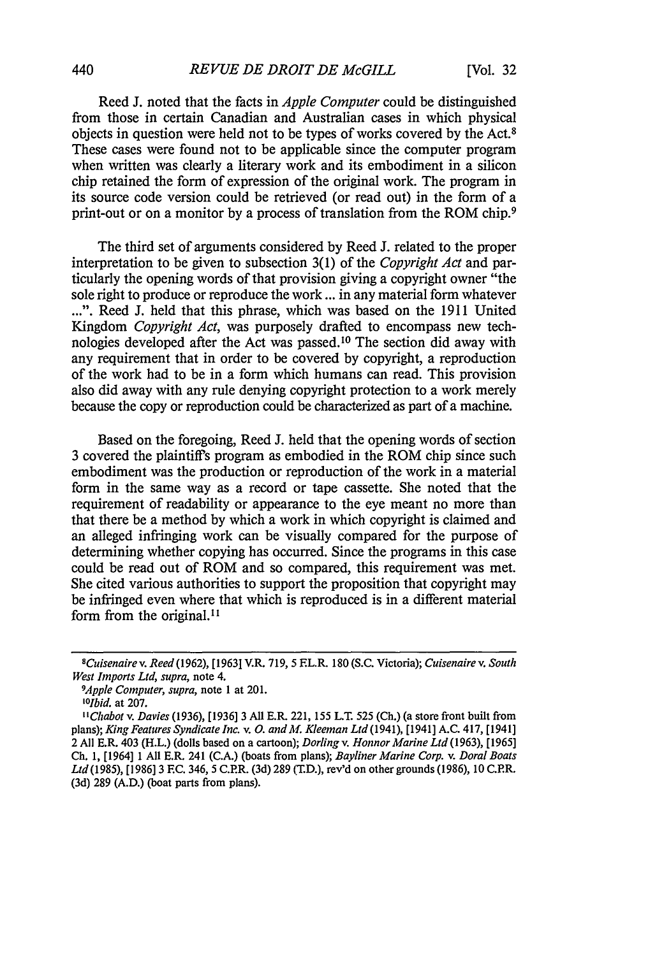Reed J. noted that the facts in *Apple Computer* could be distinguished from those in certain Canadian and Australian cases in which physical objects in question were held not to be types of works covered by the Act.<sup>8</sup> These cases were found not to be applicable since the computer program when written was clearly a literary work and its embodiment in a silicon chip retained the form of expression of the original work. The program in its source code version could be retrieved (or read out) in the form of a print-out or on a monitor by a process of translation from the ROM chip.9

The third set of arguments considered by Reed J. related to the proper interpretation to be given to subsection 3(1) of the *Copyright Act* and particularly the opening words of that provision giving a copyright owner "the sole right to produce or reproduce the work ... in any material form whatever ...". Reed J. held that this phrase, which was based on the 1911 United Kingdom *Copyright Act,* was purposely drafted to encompass new technologies developed after the Act was passed.'0 The section did away with any requirement that in order to be covered by copyright, a reproduction of the work had to be in a form which humans can read. This provision also did away with any rule denying copyright protection to a work merely because the copy or reproduction could be characterized as part of a machine.

Based on the foregoing, Reed J. held that the opening words of section 3 covered the plaintiffs program as embodied in the ROM chip since such embodiment was the production or reproduction of the work in a material form in the same way as a record or tape cassette. She noted that the requirement of readability or appearance to the eye meant no more than that there be a method by which a work in which copyright is claimed and an alleged infringing work can be visually compared for the purpose of determining whether copying has occurred. Since the programs in this case could be read out of ROM and so compared, this requirement was met. She cited various authorities to support the proposition that copyright may be infringed even where that which is reproduced is in a different material form from the original.<sup>11</sup>

*9 Apple Computer, supra,* note 1 at 201.

*0 Ilbid.* at 207.

*sCuisenairev. Reed(1962),* [1963] V.R. 719, 5 EL.R. 180 (S.C. Victoria); *Cuisenaire v. South West Imports Ltd, supra,* note 4.

*<sup>&</sup>quot;Chabot v. Davies* (1936), [1936] 3 All E.R. 221, 155 L.T. 525 (Ch.) (a store front built from plans); *King Features Syndicate Inc.* v. *0. and M. Kleeman Ltd* (1941), [1941] A.C. 417, [1941] 2 All E.R. 403 (H.L.) (dolls based on a cartoon); *Dorlingv. Honnor Marine Ltd (1963),* [1965] Ch. 1, [1964] **1** All E.R. 241 (C.A.) (boats from plans); *Bayliner Marine Corp. v. Doral Boats Ltd(1985),* [1986] 3 **EC.** 346, 5 C.P.R. (3d) 289 (T.D.), rev'd on othergrounds (1986), **10** C.P.R. (3d) 289 (A.D.) (boat parts from plans).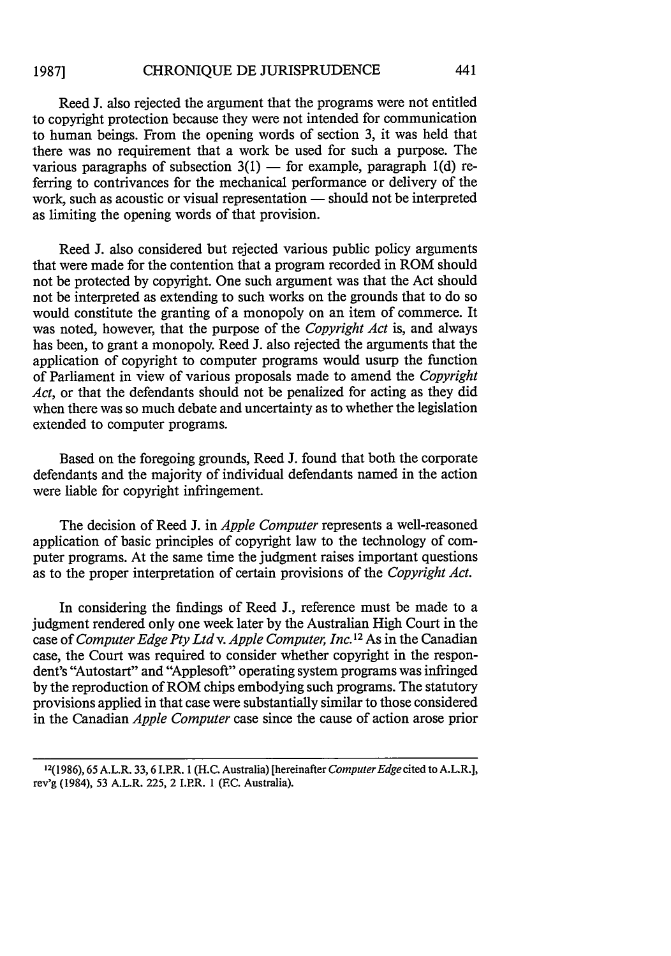## CHRONIQUE DE JURISPRUDENCE **1987]**

Reed J. also rejected the argument that the programs were not entitled to copyright protection because they were not intended for communication to human beings. From the opening words of section 3, it was held that there was no requirement that a work be used for such a purpose. The various paragraphs of subsection  $3(1)$  - for example, paragraph 1(d) referring to contrivances for the mechanical performance or delivery of the work, such as acoustic or visual representation — should not be interpreted as limiting the opening words of that provision.

Reed J. also considered but rejected various public policy arguments that were made for the contention that a program recorded in ROM should not be protected by copyright. One such argument was that the Act should not be interpreted as extending to such works on the grounds that to do so would constitute the granting of a monopoly on an item of commerce. It was noted, however, that the purpose of the *Copyright Act* is, and always has been, to grant a monopoly. Reed J. also rejected the arguments that the application of copyright to computer programs would usurp the function of Parliament in view of various proposals made to amend the *Copyright Act,* or that the defendants should not be penalized for acting as they did when there was so much debate and uncertainty as to whether the legislation extended to computer programs.

Based on the foregoing grounds, Reed J. found that both the corporate defendants and the majority of individual defendants named in the action were liable for copyright infringement.

The decision of Reed **J.** in *Apple Computer* represents a well-reasoned application of basic principles of copyright law to the technology of computer programs. At the same time the judgment raises important questions as to the proper interpretation of certain provisions of the *Copyright Act.*

In considering the findings of Reed **J.,** reference must be made to a judgment rendered only one week later by the Australian High Court in the case of *Computer Edge Pty Ltd v. Apple Computer, Inc.*<sup>12</sup> As in the Canadian case, the Court was required to consider whether copyright in the respondent's "Autostart" and "Applesoft" operating system programs was infringed by the reproduction of ROM chips embodying such programs. The statutory provisions applied in that case were substantially similar to those considered in the Canadian *Apple Computer* case since the cause of action arose prior

<sup>12(1986), 65</sup> A.L.R. 33,6 I.PR. **I** (H.C. Australia) [hereinafter *ComputerEdge cited* to A.L.R.], rev'g (1984), 53 A.L.R. 225, 2 I.PR. 1 (EC. Australia).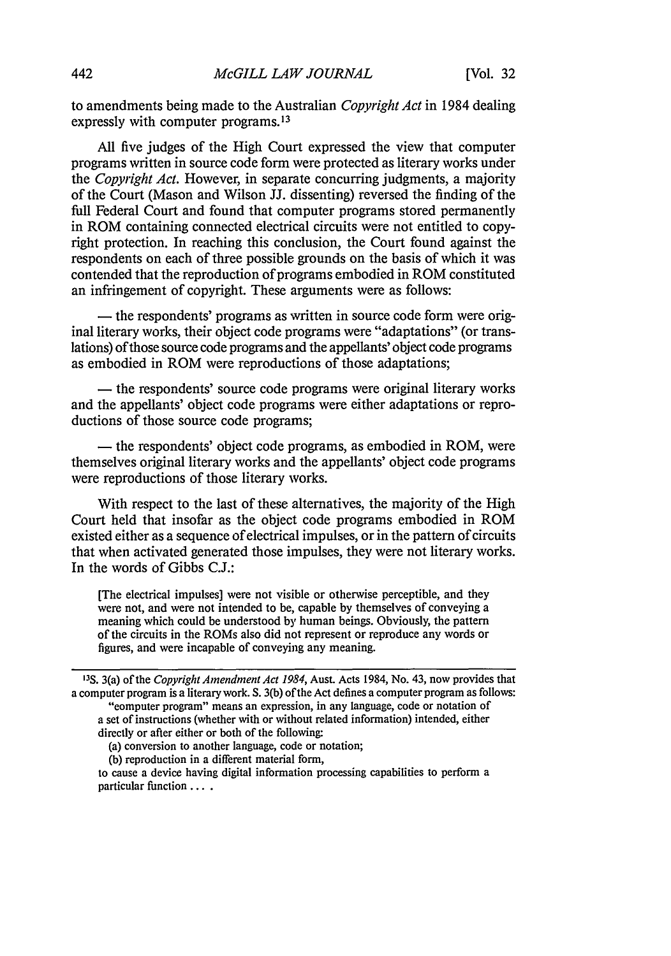to amendments being made to the Australian *Copyright Act* in 1984 dealing expressly with computer programs.<sup>13</sup>

All five judges of the High Court expressed the view that computer programs written in source code form were protected as literary works under the *Copyright Act.* However, in separate concurring judgments, a majority of the Court (Mason and Wilson JJ. dissenting) reversed the finding of the full Federal Court and found that computer programs stored permanently in ROM containing connected electrical circuits were not entitled to copyright protection. In reaching this conclusion, the Court found against the respondents on each of three possible grounds on the basis of which it was contended that the reproduction of programs embodied in ROM constituted an infringement of copyright. These arguments were as follows:

**-** the respondents' programs as written in source code form were original literary works, their object code programs were "adaptations" (or translations) of those source code programs and the appellants' object code programs as embodied in ROM were reproductions of those adaptations;

**-** the respondents' source code programs were original literary works and the appellants' object code programs were either adaptations or reproductions of those source code programs;

**-** the respondents' object code programs, as embodied in ROM, were themselves original literary works and the appellants' object code programs were reproductions of those literary works.

With respect to the last of these alternatives, the majority of the High Court held that insofar as the object code programs embodied in ROM existed either as a sequence of electrical impulses, or in the pattern of circuits that when activated generated those impulses, they were not literary works. In the words of Gibbs C.J.:

[The electrical impulses] were not visible or otherwise perceptible, and they were not, and were not intended to be, capable by themselves of conveying a meaning which could be understood by human beings. Obviously, the pattern of the circuits in the ROMs also did not represent or reproduce any words or figures, and were incapable of conveying any meaning.

| <sup>13</sup> S. 3(a) of the <i>Copyright Amendment Act 1984</i> , Aust. Acts 1984, No. 43, now provides that |
|---------------------------------------------------------------------------------------------------------------|
| a computer program is a literary work. S. 3(b) of the Act defines a computer program as follows:              |
| "eomputer program" means an expression, in any language, code or notation of                                  |
| a set of instructions (whether with or without related information) intended, either                          |
| directly or after either or both of the following:                                                            |
| (a) conversion to another language, code or notation;                                                         |
|                                                                                                               |

(b) reproduction in a different material form,

to cause a device having digital information processing capabilities to perform a particular function ....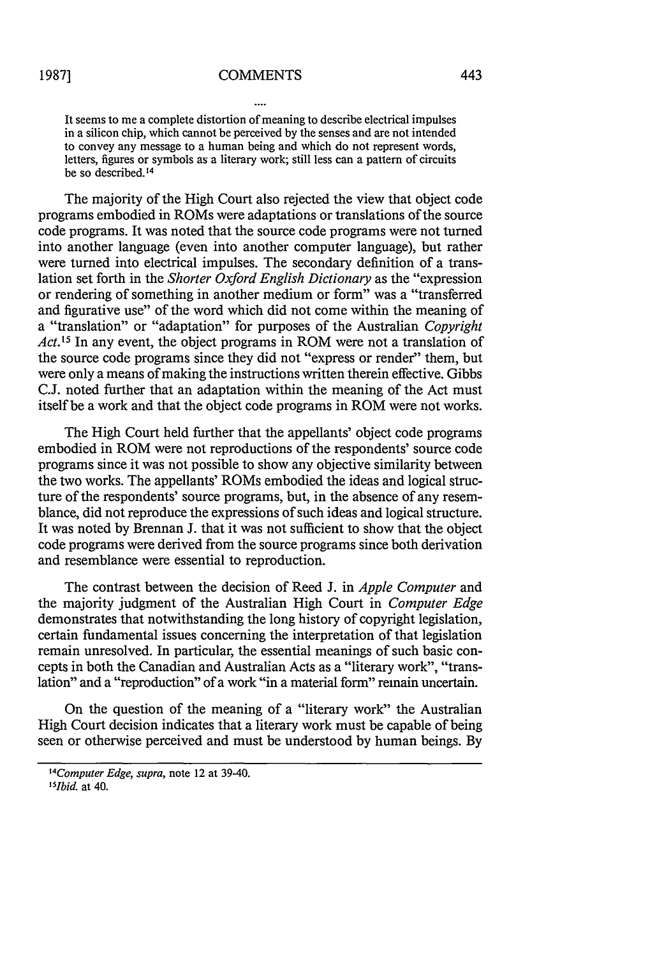It seems to me a complete distortion of meaning to describe electrical impulses in a silicon chip, which cannot be perceived by the senses and are not intended to convey any message to a human being and which do not represent words, letters, figures or symbols as a literary work; still less can a pattern of circuits be so described.14

The majority of the High Court also rejected the view that object code programs embodied in ROMs were adaptations or translations of the source code programs. It was noted that the source code programs were not turned into another language (even into another computer language), but rather were turned into electrical impulses. The secondary definition of a translation set forth in the *Shorter Oxford English Dictionary* as the "expression or rendering of something in another medium or form" was a "transferred and figurative use" of the word which did not come within the meaning of a "translation" or "adaptation" for purposes of the Australian *Copyright Act.15* In any event, the object programs in ROM were not a translation of the source code programs since they did not "express or render" them, but were only a means of making the instructions written therein effective. Gibbs C.J. noted further that an adaptation within the meaning of the Act must itself be a work and that the object code programs in ROM were not works.

The High Court held further that the appellants' object code programs embodied in ROM were not reproductions of the respondents' source code programs since it was not possible to show any objective similarity between the two works. The appellants' ROMs embodied the ideas and logical structure of the respondents' source programs, but, in the absence of any resemblance, did not reproduce the expressions of such ideas and logical structure. It was noted by Brennan J. that it was not sufficient to show that the object code programs were derived from the source programs since both derivation and resemblance were essential to reproduction.

The contrast between the decision of Reed J. in *Apple Computer* and the majority judgment of the Australian High Court in *Computer Edge* demonstrates that notwithstanding the long history of copyright legislation, certain fundamental issues concerning the interpretation of that legislation remain unresolved. In particular, the essential meanings of such basic concepts in both the Canadian and Australian Acts as a "literary work", "translation" and a "reproduction" of a work "in a material form" remain uncertain.

On the question of the meaning of a "literary work" the Australian High Court decision indicates that a literary work must be capable of being seen or otherwise perceived and must be understood by human beings. By

*<sup>1</sup> 4Computer Edge, supra,* note 12 at 39-40. *'51bid.* at 40.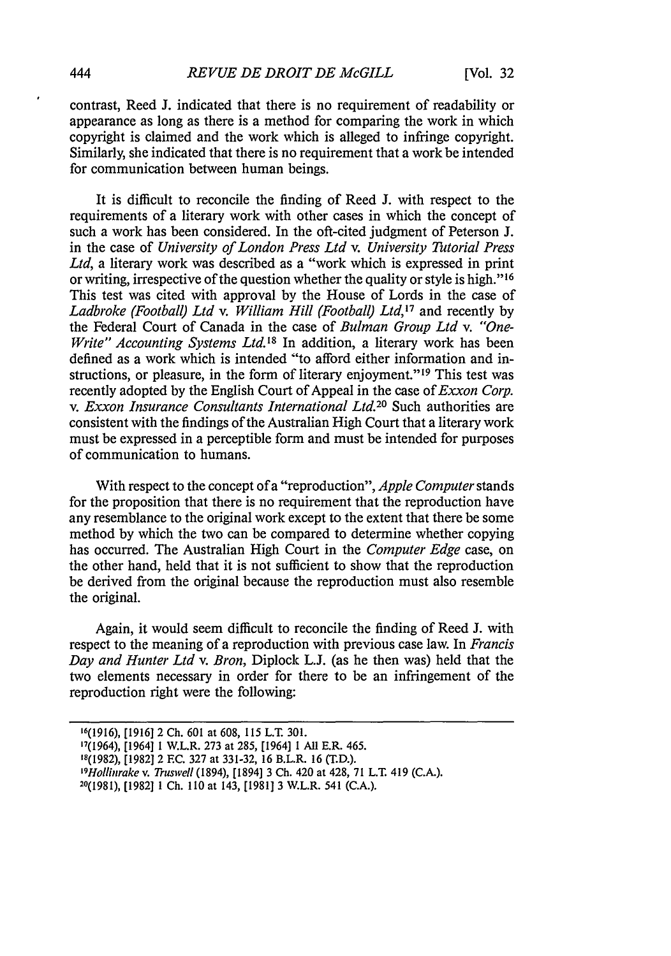contrast, Reed **J.** indicated that there is no requirement of readability or appearance as long as there is a method for comparing the work in which copyright is claimed and the work which is alleged to infringe copyright. Similarly, she indicated that there is no requirement that a work be intended for communication between human beings.

It is difficult to reconcile the finding of Reed J. with respect to the requirements of a literary work with other cases in which the concept of such a work has been considered. In the oft-cited judgment of Peterson J. in the case of *University of London Press Ltd v. University Tutorial Press Ltd,* a literary work was described as a "work which is expressed in print or writing, irrespective of the question whether the quality or style is high."16 This test was cited with approval by the House of Lords in the case of *Ladbroke (Football) Ltd v. William Hill (Football) Ltd,'7* and recently by the Federal Court of Canada in the case of *Bulman Group Ltd v. "One-Write" Accounting Systems Ltd.18* In addition, a literary work has been defined as a work which is intended "to afford either information and instructions, or pleasure, in the form of literary enjoyment."<sup>19</sup> This test was recently adopted by the English Court of Appeal in the case of *Exxon Corp. v. Exxon Insurance Consultants International Ltd.20* Such authorities are consistent with the findings of the Australian High Court that a literary work must be expressed in a perceptible form and must be intended for purposes of communication to humans.

With respect to the concept of a "reproduction", *Apple Computer* stands for the proposition that there is no requirement that the reproduction have any resemblance to the original work except to the extent that there be some method by which the two can be compared to determine whether copying has occurred. The Australian High Court in the *Computer Edge* case, on the other hand, held that it is not sufficient to show that the reproduction be derived from the original because the reproduction must also resemble the original.

Again, it would seem difficult to reconcile the finding of Reed J. with respect to the meaning of a reproduction with previous case law. In *Francis Day and Hunter Ltd v. Bron,* Diplock L.J. (as he then was) held that the two elements necessary in order for there to be an infringement of the reproduction right were the following:

 $\cdot$ 

<sup>16(1916), [1916] 2</sup> Ch. 601 at 608, 115 L.T. 301. '7(1964), [1964] 1 W.L.R. 273 at 285, [1964] **1** All E.R. 465. 18(1982), [1982] 2 EC. 327 at 331-32, 16 B.L.R. 16 (T.D.). *' 9 nollinrake v. Truswell* (1894), [1894] 3 Ch. 420 at 428, 71 L.T. 419 (C.A.). 20(1981), [1982] 1 Ch. **I10** at 143, [1981] 3 W.L.R. 541 (C.A.).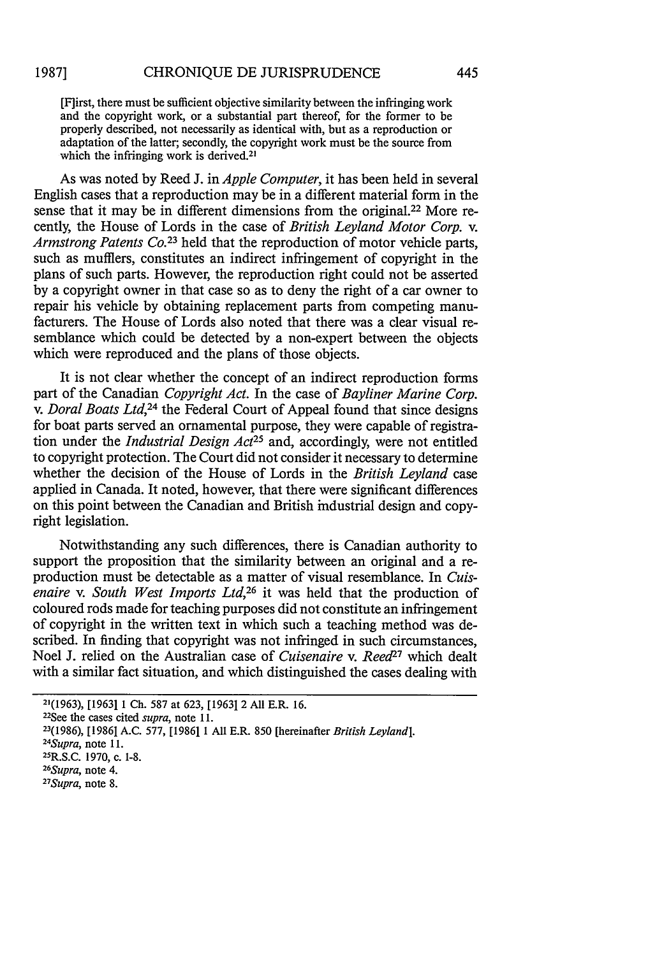[F]irst, there must be sufficient objective similarity between the infringing work and the copyright work, or a substantial part thereof, for the former to be properly described, not necessarily as identical with, but as a reproduction or adaptation of the latter; secondly, the copyright work must be the source from which the infringing work is derived.<sup>21</sup>

As was noted by Reed J. in *Apple Computer,* it has been held in several English cases that a reproduction may be in a different material form in the sense that it may be in different dimensions from the original.<sup>22</sup> More recently, the House of Lords in the case of *British Leyland Motor Corp. v.* Armstrong Patents Co.<sup>23</sup> held that the reproduction of motor vehicle parts, such as mufflers, constitutes an indirect infringement of copyright in the plans of such parts. However, the reproduction right could not be asserted by a copyright owner in that case so as to deny the right of a car owner to repair his vehicle by obtaining replacement parts from competing manufacturers. The House of Lords also noted that there was a clear visual resemblance which could be detected by a non-expert between the objects which were reproduced and the plans of those objects.

It is not clear whether the concept of an indirect reproduction forms part of the Canadian *Copyright Act.* In the case of *Bayliner Marine Corp. v. Doral Boats Ltd,24* the Federal Court of Appeal found that since designs for boat parts served an ornamental purpose, they were capable of registration under the *Industrial Design Act*<sup>25</sup> and, accordingly, were not entitled to copyright protection. The Court did not consider it necessary to determine whether the decision of the House of Lords in the *British Leyland* case applied in Canada. It noted, however, that there were significant differences on this point between the Canadian and British industrial design and copyright legislation.

Notwithstanding any such differences, there is Canadian authority to support the proposition that the similarity between an original and a **re**production must be detectable as a matter of visual resemblance. In *Cuisenaire v. South West Imports Ltd,26* it was held that the production of coloured rods made for teaching purposes did not constitute an infringement of copyright in the written text in which such a teaching method was described. In finding that copyright was not infringed in such circumstances, Noel J. relied on the Australian case of *Cuisenaire v. Reed27* which dealt with a similar fact situation, and which distinguished the cases dealing with

**<sup>2](1963),</sup>** [1963] 1 Ch. 587 at 623, [1963] 2 All E.R. 16.

<sup>22</sup> See the cases cited *supra,* note 11.

<sup>23(1986), [1986]</sup> A.C. 577, [1986] 1 All E.R. 850 [hereinafter *British Leyland].*

*<sup>24</sup> Supra,* note **11.**

<sup>25</sup>R.S.C. 1970, c. **1-8.** *26*

*<sup>&</sup>lt;sup>26</sup>Supra*, note 4.

*Supra,* note 8.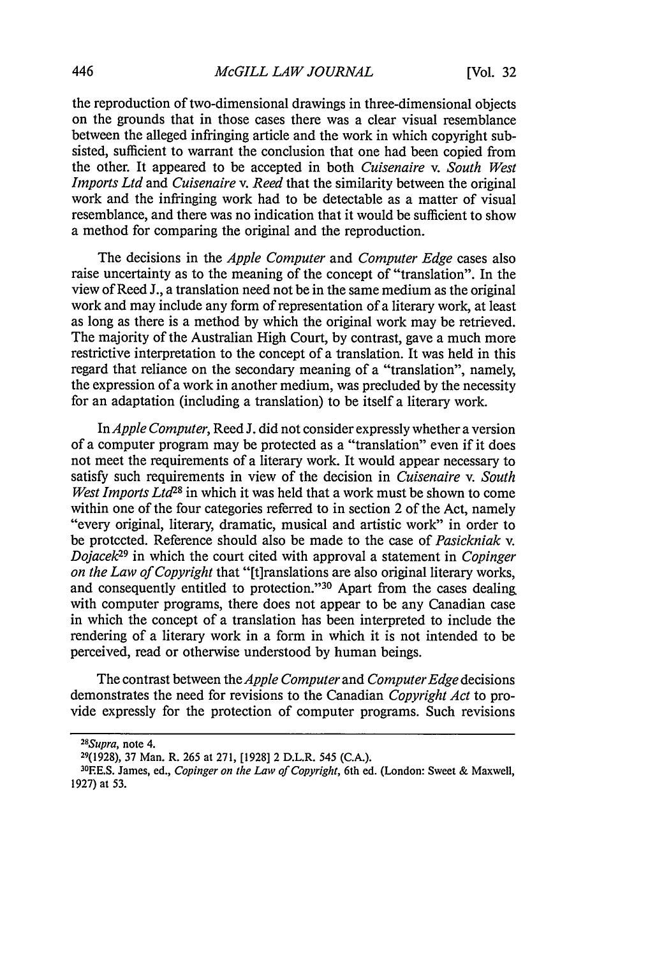the reproduction of two-dimensional drawings in three-dimensional objects on the grounds that in those cases there was a clear visual resemblance between the alleged infringing article and the work in which copyright subsisted, sufficient to warrant the conclusion that one had been copied from the other. It appeared to be accepted in both *Cuisenaire v. South West Imports Ltd* and *Cuisenaire v. Reed* that the similarity between the original work and the infringing work had to be detectable as a matter of visual resemblance, and there was no indication that it would be sufficient to show a method for comparing the original and the reproduction.

The decisions in the *Apple Computer* and *Computer Edge* cases also raise uncertainty as to the meaning of the concept of "translation". In the view of Reed J., a translation need not be in the same medium as the original work and may include any form of representation of a literary work, at least as long as there is a method by which the original work may be retrieved. The majority of the Australian High Court, by contrast, gave a much more restrictive interpretation to the concept of a translation. It was held in this regard that reliance on the secondary meaning of a "translation", namely, the expression of a work in another medium, was precluded by the necessity for an adaptation (including a translation) to be itself a literary work.

In *Apple Computer,* Reed J. did not consider expressly whether a version of a computer program may be protected as a "translation" even if it does not meet the requirements of a literary work. It would appear necessary to satisfy such requirements in view of the decision in *Cuisenaire v. South West Imports Ltd28* in which it was held that a work must be shown to come within one of the four categories referred to in section 2 of the Act, namely "every original, literary, dramatic, musical and artistic work" in order to be protected. Reference should also be made to the case of *Pasickniak v. Dojacek29* in which the court cited with approval a statement in *Copinger on the Law of Copyright* that "[t]ranslations are also original literary works, and consequently entitled to protection."<sup>30</sup> Apart from the cases dealing with computer programs, there does not appear to be any Canadian case in which the concept of a translation has been interpreted to include the rendering of a literary work in a form in which it is not intended to be perceived, read or otherwise understood by human beings.

The contrast between the *Apple Computer* and *Computer Edge* decisions demonstrates the need for revisions to the Canadian *Copyright Act* to provide expressly for the protection of computer programs. Such revisions

*28*

*Supra,* note 4.

<sup>29(1928), 37</sup> Man. R. 265 at 271, [1928] 2 D.L.R. 545 (C.A.). 30

EE.S. James, ed., *Copinger on the Law of Copyright,* 6th ed. (London: Sweet & Maxwell, 1927) at 53.